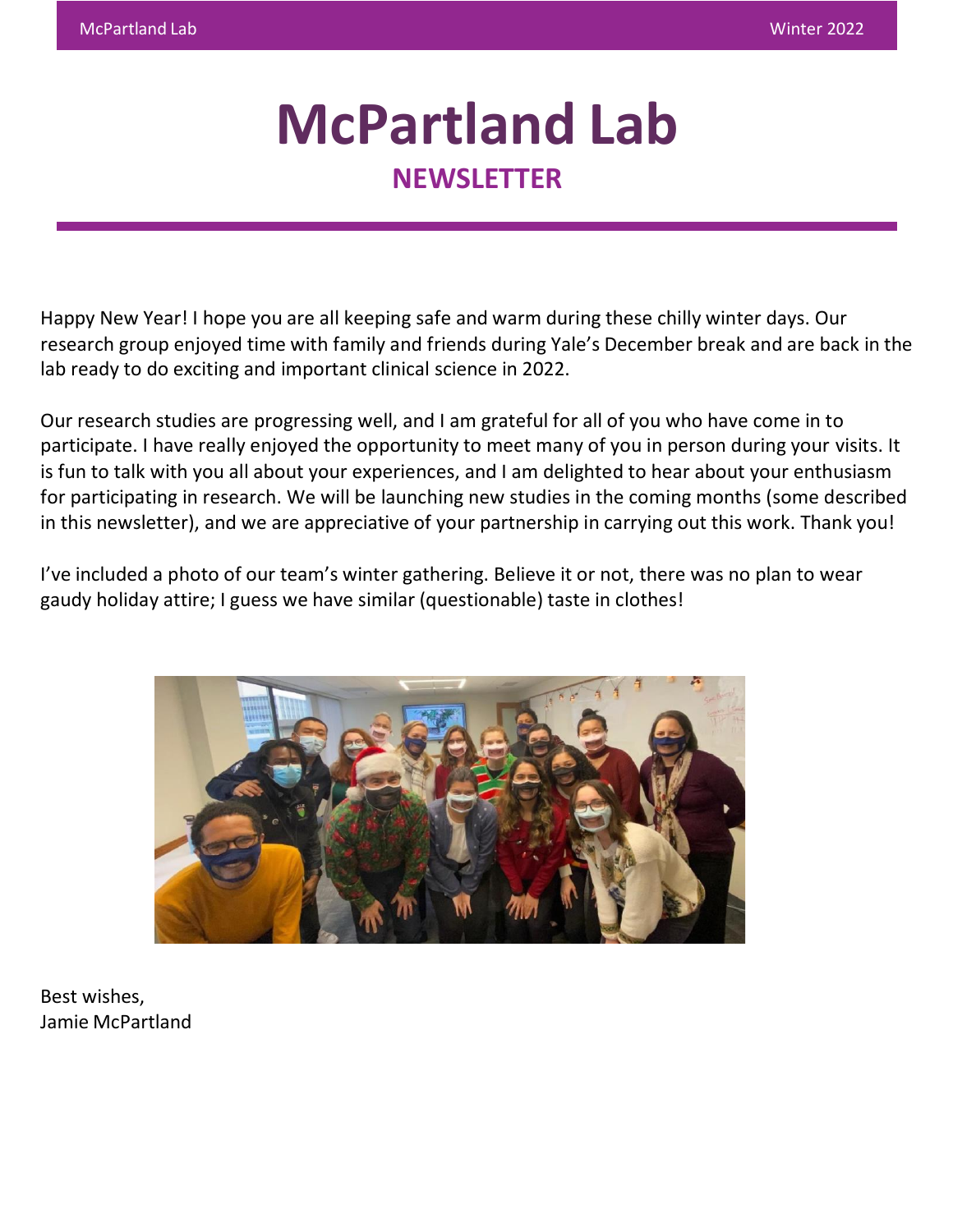# **McPartland Lab NEWSLETTER**

Happy New Year! I hope you are all keeping safe and warm during these chilly winter days. Our research group enjoyed time with family and friends during Yale's December break and are back in the lab ready to do exciting and important clinical science in 2022.

Our research studies are progressing well, and I am grateful for all of you who have come in to participate. I have really enjoyed the opportunity to meet many of you in person during your visits. It is fun to talk with you all about your experiences, and I am delighted to hear about your enthusiasm for participating in research. We will be launching new studies in the coming months (some described in this newsletter), and we are appreciative of your partnership in carrying out this work. Thank you!

I've included a photo of our team's winter gathering. Believe it or not, there was no plan to wear gaudy holiday attire; I guess we have similar (questionable) taste in clothes!



Best wishes, Jamie McPartland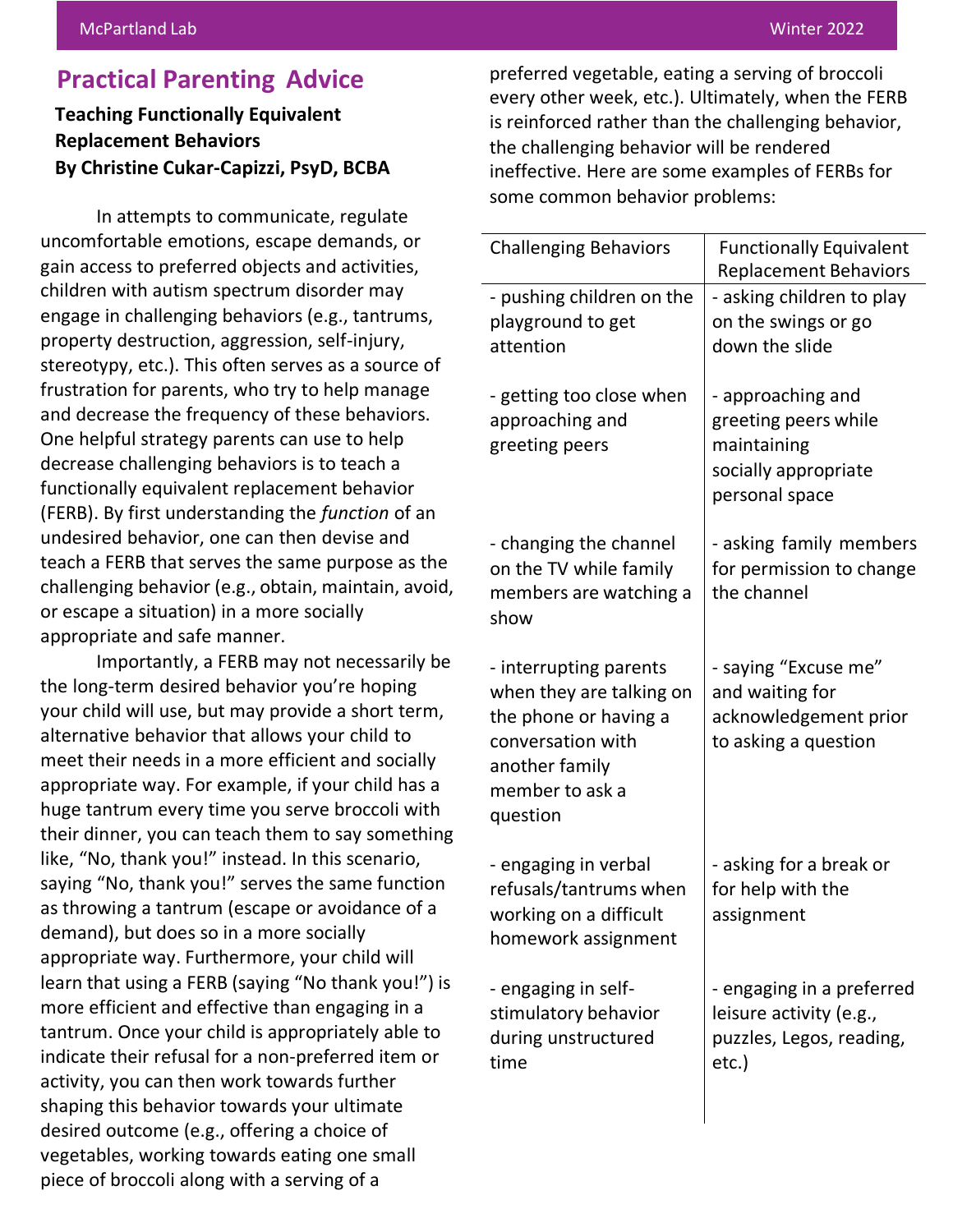## **Practical Parenting Advice**

#### **Teaching Functionally Equivalent Replacement Behaviors By Christine Cukar-Capizzi, PsyD, BCBA**

In attempts to communicate, regulate uncomfortable emotions, escape demands, or gain access to preferred objects and activities, children with autism spectrum disorder may engage in challenging behaviors (e.g., tantrums, property destruction, aggression, self-injury, stereotypy, etc.). This often serves as a source of frustration for parents, who try to help manage and decrease the frequency of these behaviors. One helpful strategy parents can use to help decrease challenging behaviors is to teach a functionally equivalent replacement behavior (FERB). By first understanding the *function* of an undesired behavior, one can then devise and teach a FERB that serves the same purpose as the challenging behavior (e.g., obtain, maintain, avoid, or escape a situation) in a more socially appropriate and safe manner.

Importantly, a FERB may not necessarily be the long-term desired behavior you're hoping your child will use, but may provide a short term, alternative behavior that allows your child to meet their needs in a more efficient and socially appropriate way. For example, if your child has a huge tantrum every time you serve broccoli with their dinner, you can teach them to say something like, "No, thank you!" instead. In this scenario, saying "No, thank you!" serves the same function as throwing a tantrum (escape or avoidance of a demand), but does so in a more socially appropriate way. Furthermore, your child will learn that using a FERB (saying "No thank you!") is more efficient and effective than engaging in a tantrum. Once your child is appropriately able to indicate their refusal for a non-preferred item or activity, you can then work towards further shaping this behavior towards your ultimate desired outcome (e.g., offering a choice of vegetables, working towards eating one small piece of broccoli along with a serving of a

preferred vegetable, eating a serving of broccoli every other week, etc.). Ultimately, when the FERB is reinforced rather than the challenging behavior, the challenging behavior will be rendered ineffective. Here are some examples of FERBs for some common behavior problems:

| <b>Challenging Behaviors</b>                                                                                                                      | <b>Functionally Equivalent</b><br><b>Replacement Behaviors</b>                                     |
|---------------------------------------------------------------------------------------------------------------------------------------------------|----------------------------------------------------------------------------------------------------|
| - pushing children on the<br>playground to get<br>attention                                                                                       | - asking children to play<br>on the swings or go<br>down the slide                                 |
| - getting too close when<br>approaching and<br>greeting peers                                                                                     | - approaching and<br>greeting peers while<br>maintaining<br>socially appropriate<br>personal space |
| - changing the channel<br>on the TV while family<br>members are watching a<br>show                                                                | - asking family members<br>for permission to change<br>the channel                                 |
| - interrupting parents<br>when they are talking on<br>the phone or having a<br>conversation with<br>another family<br>member to ask a<br>question | - saying "Excuse me"<br>and waiting for<br>acknowledgement prior<br>to asking a question           |
| - engaging in verbal<br>refusals/tantrums when<br>working on a difficult<br>homework assignment                                                   | - asking for a break or<br>for help with the<br>assignment                                         |
| - engaging in self-<br>stimulatory behavior<br>during unstructured<br>time                                                                        | - engaging in a preferred<br>leisure activity (e.g.,<br>puzzles, Legos, reading,<br>etc.)          |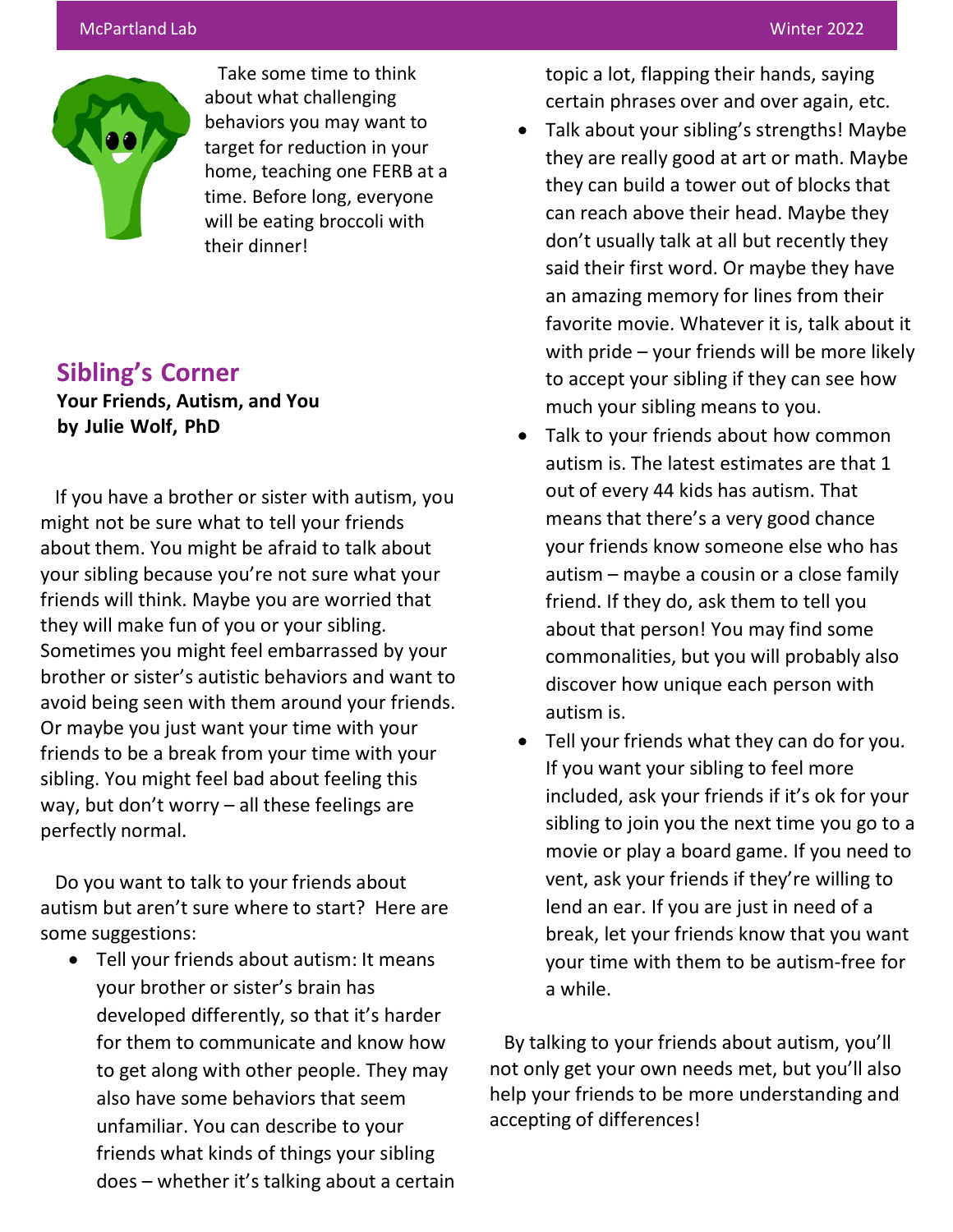

Take some time to think about what challenging behaviors you may want to target for reduction in your home, teaching one FERB at a time. Before long, everyone will be eating broccoli with their dinner!

# **Sibling's Corner**

**Your Friends, Autism, and You by Julie Wolf, PhD**

If you have a brother or sister with autism, you might not be sure what to tell your friends about them. You might be afraid to talk about your sibling because you're not sure what your friends will think. Maybe you are worried that they will make fun of you or your sibling. Sometimes you might feel embarrassed by your brother or sister's autistic behaviors and want to avoid being seen with them around your friends. Or maybe you just want your time with your friends to be a break from your time with your sibling. You might feel bad about feeling this way, but don't worry – all these feelings are perfectly normal.

Do you want to talk to your friends about autism but aren't sure where to start? Here are some suggestions:

• Tell your friends about autism: It means your brother or sister's brain has developed differently, so that it's harder for them to communicate and know how to get along with other people. They may also have some behaviors that seem unfamiliar. You can describe to your friends what kinds of things your sibling does – whether it's talking about a certain topic a lot, flapping their hands, saying certain phrases over and over again, etc.

- Talk about your sibling's strengths! Maybe they are really good at art or math. Maybe they can build a tower out of blocks that can reach above their head. Maybe they don't usually talk at all but recently they said their first word. Or maybe they have an amazing memory for lines from their favorite movie. Whatever it is, talk about it with pride – your friends will be more likely to accept your sibling if they can see how much your sibling means to you.
- Talk to your friends about how common autism is. The latest estimates are that 1 out of every 44 kids has autism. That means that there's a very good chance your friends know someone else who has autism – maybe a cousin or a close family friend. If they do, ask them to tell you about that person! You may find some commonalities, but you will probably also discover how unique each person with autism is.
- Tell your friends what they can do for you. If you want your sibling to feel more included, ask your friends if it's ok for your sibling to join you the next time you go to a movie or play a board game. If you need to vent, ask your friends if they're willing to lend an ear. If you are just in need of a break, let your friends know that you want your time with them to be autism-free for a while.

By talking to your friends about autism, you'll not only get your own needs met, but you'll also help your friends to be more understanding and accepting of differences!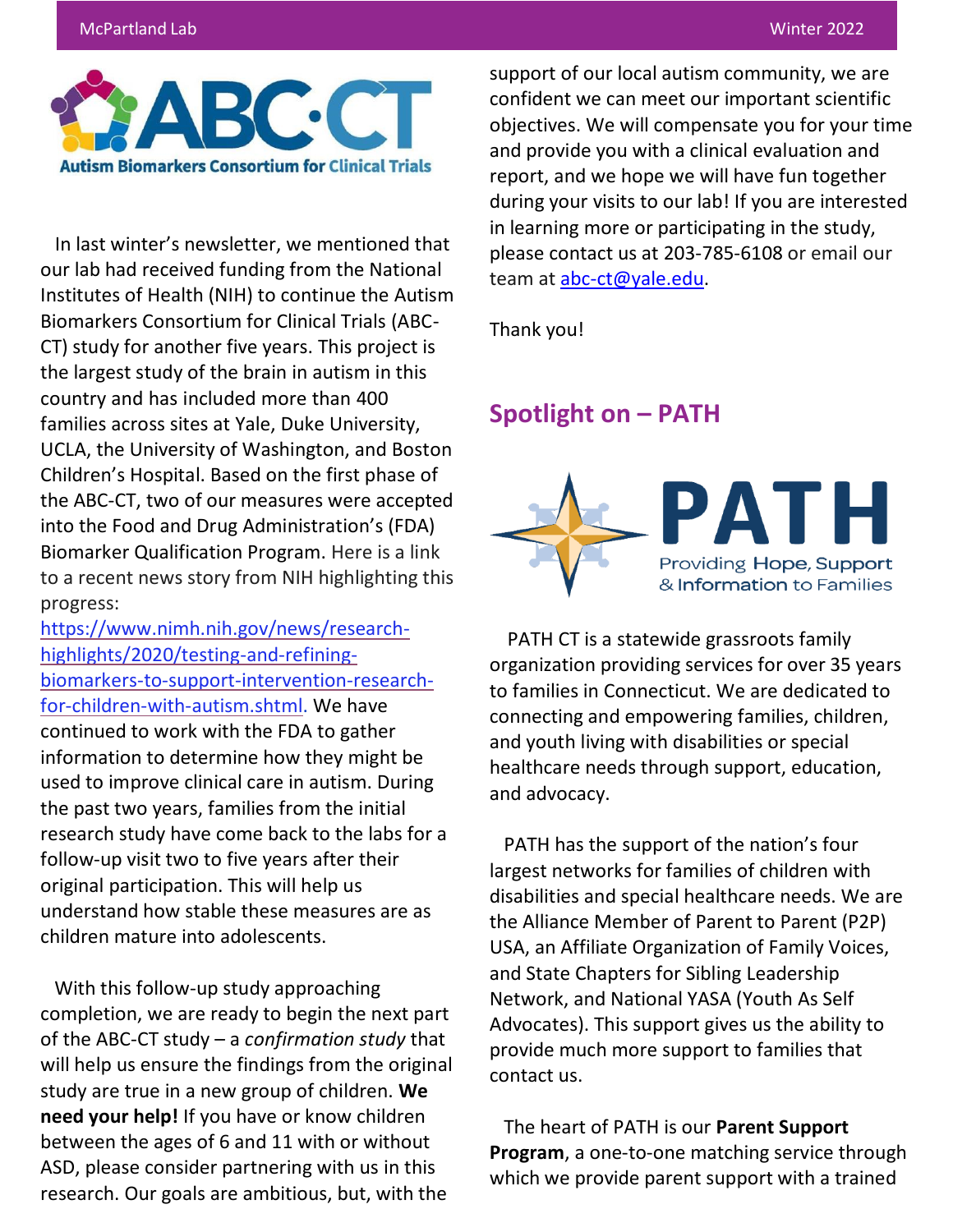#### McPartland Lab Winter 2022



In last winter's newsletter, we mentioned that our lab had received funding from the National Institutes of Health (NIH) to continue the Autism Biomarkers Consortium for Clinical Trials (ABC-CT) study for another five years. This project is the largest study of the brain in autism in this country and has included more than 400 families across sites at Yale, Duke University, UCLA, the University of Washington, and Boston Children's Hospital. Based on the first phase of the ABC-CT, two of our measures were accepted into the Food and Drug Administration's (FDA) Biomarker Qualification Program. Here is a link to a recent news story from NIH highlighting this progress:

[https://www.nimh.nih.gov/news/research](https://nam12.safelinks.protection.outlook.com/?url=https%3A%2F%2Fwww.nimh.nih.gov%2Fnews%2Fresearch-highlights%2F2020%2Ftesting-and-refining-biomarkers-to-support-intervention-research-for-children-with-autism.shtml&data=04%7C01%7Cbelmana.dadic%40yale.edu%7C1f5d02733911463b59b308d942e09743%7Cdd8cbebb21394df8b4114e3e87abeb5c%7C0%7C1%7C637614354649742664%7CUnknown%7CTWFpbGZsb3d8eyJWIjoiMC4wLjAwMDAiLCJQIjoiV2luMzIiLCJBTiI6Ik1haWwiLCJXVCI6Mn0%3D%7C2000&sdata=J7a4Ci9rYWFbkfJDbrNaXkchtW1QwOy7DnmB%2F5KphwY%3D&reserved=0)[highlights/2020/testing-and-refining](https://nam12.safelinks.protection.outlook.com/?url=https%3A%2F%2Fwww.nimh.nih.gov%2Fnews%2Fresearch-highlights%2F2020%2Ftesting-and-refining-biomarkers-to-support-intervention-research-for-children-with-autism.shtml&data=04%7C01%7Cbelmana.dadic%40yale.edu%7C1f5d02733911463b59b308d942e09743%7Cdd8cbebb21394df8b4114e3e87abeb5c%7C0%7C1%7C637614354649742664%7CUnknown%7CTWFpbGZsb3d8eyJWIjoiMC4wLjAwMDAiLCJQIjoiV2luMzIiLCJBTiI6Ik1haWwiLCJXVCI6Mn0%3D%7C2000&sdata=J7a4Ci9rYWFbkfJDbrNaXkchtW1QwOy7DnmB%2F5KphwY%3D&reserved=0)[biomarkers-to-support-intervention-research](https://nam12.safelinks.protection.outlook.com/?url=https%3A%2F%2Fwww.nimh.nih.gov%2Fnews%2Fresearch-highlights%2F2020%2Ftesting-and-refining-biomarkers-to-support-intervention-research-for-children-with-autism.shtml&data=04%7C01%7Cbelmana.dadic%40yale.edu%7C1f5d02733911463b59b308d942e09743%7Cdd8cbebb21394df8b4114e3e87abeb5c%7C0%7C1%7C637614354649742664%7CUnknown%7CTWFpbGZsb3d8eyJWIjoiMC4wLjAwMDAiLCJQIjoiV2luMzIiLCJBTiI6Ik1haWwiLCJXVCI6Mn0%3D%7C2000&sdata=J7a4Ci9rYWFbkfJDbrNaXkchtW1QwOy7DnmB%2F5KphwY%3D&reserved=0)[for-children-with-autism.shtml.](https://nam12.safelinks.protection.outlook.com/?url=https%3A%2F%2Fwww.nimh.nih.gov%2Fnews%2Fresearch-highlights%2F2020%2Ftesting-and-refining-biomarkers-to-support-intervention-research-for-children-with-autism.shtml&data=04%7C01%7Cbelmana.dadic%40yale.edu%7C1f5d02733911463b59b308d942e09743%7Cdd8cbebb21394df8b4114e3e87abeb5c%7C0%7C1%7C637614354649742664%7CUnknown%7CTWFpbGZsb3d8eyJWIjoiMC4wLjAwMDAiLCJQIjoiV2luMzIiLCJBTiI6Ik1haWwiLCJXVCI6Mn0%3D%7C2000&sdata=J7a4Ci9rYWFbkfJDbrNaXkchtW1QwOy7DnmB%2F5KphwY%3D&reserved=0) We have continued to work with the FDA to gather information to determine how they might be used to improve clinical care in autism. During the past two years, families from the initial research study have come back to the labs for a follow-up visit two to five years after their original participation. This will help us understand how stable these measures are as children mature into adolescents.

With this follow-up study approaching completion, we are ready to begin the next part of the ABC-CT study – a *confirmation study* that will help us ensure the findings from the original study are true in a new group of children. **We need your help!** If you have or know children between the ages of 6 and 11 with or without ASD, please consider partnering with us in this research. Our goals are ambitious, but, with the

support of our local autism community, we are confident we can meet our important scientific objectives. We will compensate you for your time and provide you with a clinical evaluation and report, and we hope we will have fun together during your visits to our lab! If you are interested in learning more or participating in the study, please contact us at 203-785-6108 or email our team at **abc-ct@yale.edu**.

Thank you!

## **Spotlight on – PATH**



PATH CT is a statewide grassroots family organization providing services for over 35 years to families in Connecticut. We are dedicated to connecting and empowering families, children, and youth living with disabilities or special healthcare needs through support, education, and advocacy.

PATH has the support of the nation's four largest networks for families of children with disabilities and special healthcare needs. We are the Alliance Member of Parent to Parent (P2P) USA, an Affiliate Organization of Family Voices, and State Chapters for Sibling Leadership Network, and National YASA (Youth As Self Advocates). This support gives us the ability to provide much more support to families that contact us.

The heart of PATH is our **Parent Support Program**, a one-to-one matching service through which we provide parent support with a trained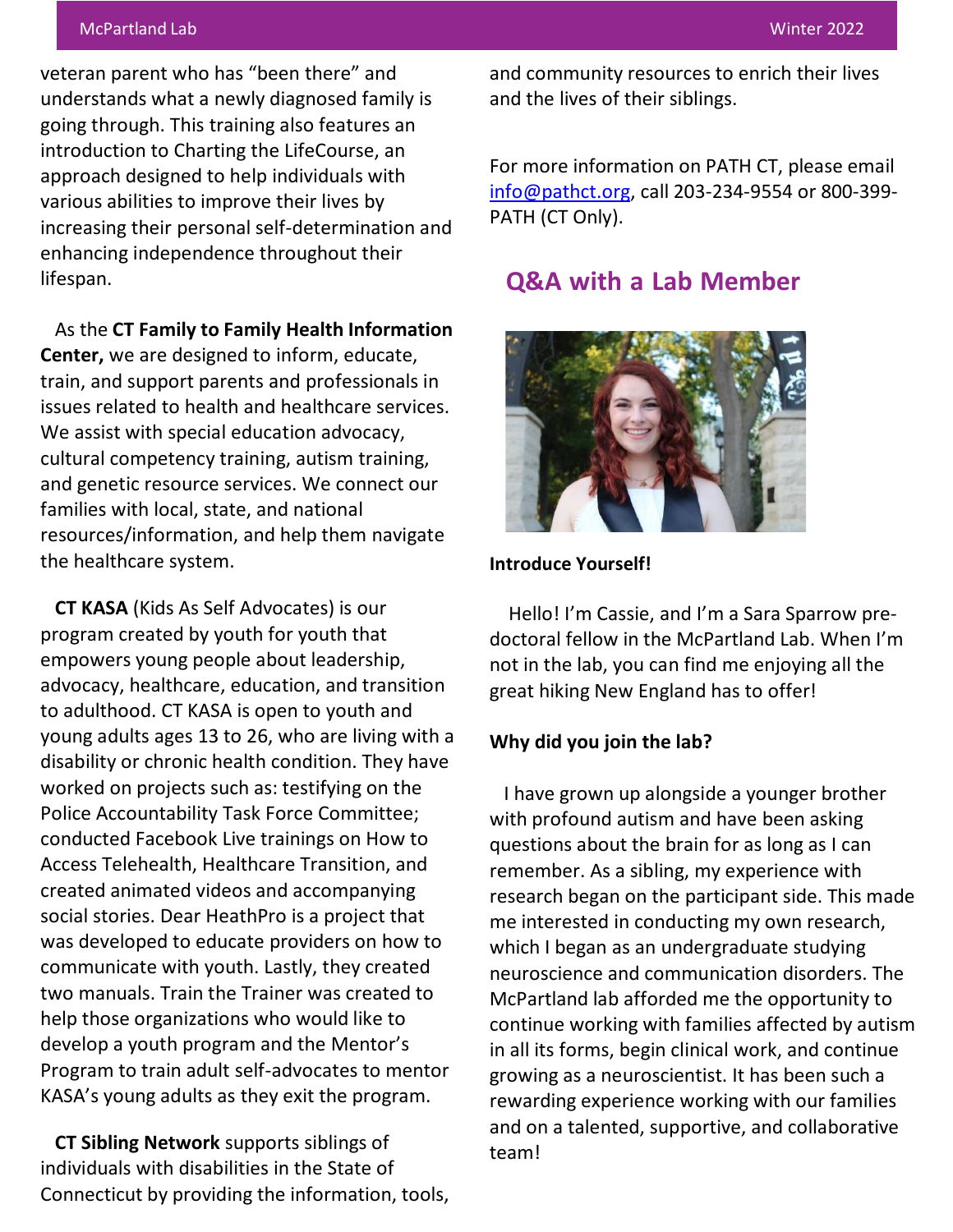#### McPartland Lab Winter 2022

veteran parent who has "been there" and understands what a newly diagnosed family is going through. This training also features an introduction to Charting the LifeCourse, an approach designed to help individuals with various abilities to improve their lives by increasing their personal self-determination and enhancing independence throughout their lifespan.

As the **CT Family to Family Health Information Center,** we are designed to inform, educate, train, and support parents and professionals in issues related to health and healthcare services. We assist with special education advocacy, cultural competency training, autism training, and genetic resource services. We connect our families with local, state, and national resources/information, and help them navigate the healthcare system.

**CT KASA** (Kids As Self Advocates) is our program created by youth for youth that empowers young people about leadership, advocacy, healthcare, education, and transition to adulthood. CT KASA is open to youth and young adults ages 13 to 26, who are living with a disability or chronic health condition. They have worked on projects such as: testifying on the Police Accountability Task Force Committee; conducted Facebook Live trainings on How to Access Telehealth, Healthcare Transition, and created animated videos and accompanying social stories. Dear HeathPro is a project that was developed to educate providers on how to communicate with youth. Lastly, they created two manuals. Train the Trainer was created to help those organizations who would like to develop a youth program and the Mentor's Program to train adult self-advocates to mentor KASA's young adults as they exit the program.

**CT Sibling Network** supports siblings of individuals with disabilities in the State of Connecticut by providing the information, tools, and community resources to enrich their lives and the lives of their siblings.

For more information on PATH CT, please email [info@pathct.org,](mailto:info@pathct.org) call 203-234-9554 or 800-399- PATH (CT Only).

# **Q&A with a Lab Member**



#### **Introduce Yourself!**

Hello! I'm Cassie, and I'm a Sara Sparrow predoctoral fellow in the McPartland Lab. When I'm not in the lab, you can find me enjoying all the great hiking New England has to offer!

#### **Why did you join the lab?**

I have grown up alongside a younger brother with profound autism and have been asking questions about the brain for as long as I can remember. As a sibling, my experience with research began on the participant side. This made me interested in conducting my own research, which I began as an undergraduate studying neuroscience and communication disorders. The McPartland lab afforded me the opportunity to continue working with families affected by autism in all its forms, begin clinical work, and continue growing as a neuroscientist. It has been such a rewarding experience working with our families and on a talented, supportive, and collaborative team!